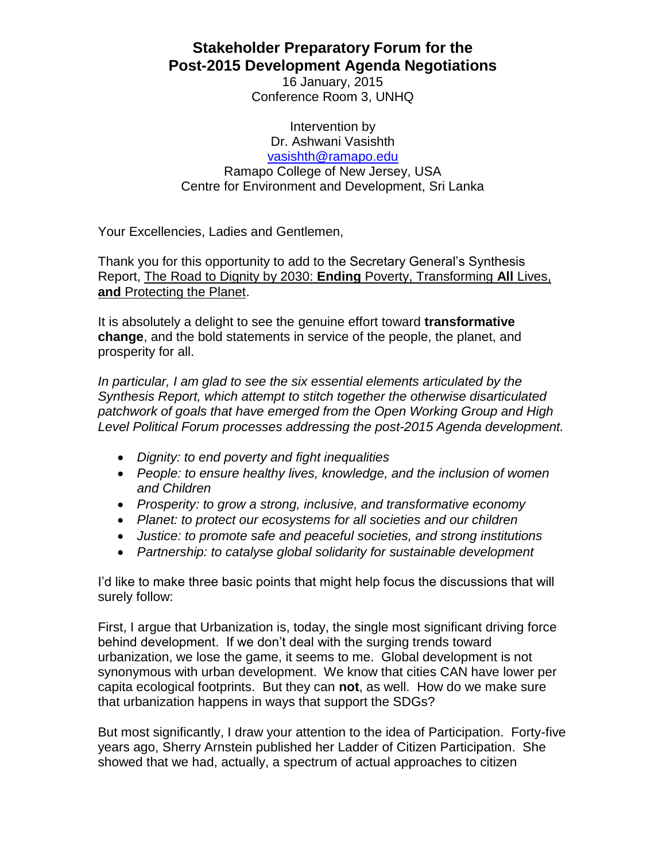**Stakeholder Preparatory Forum for the Post-2015 Development Agenda Negotiations**

> 16 January, 2015 Conference Room 3, UNHQ

Intervention by Dr. Ashwani Vasishth [vasishth@ramapo.edu](mailto:vasishth@ramapo.edu) Ramapo College of New Jersey, USA Centre for Environment and Development, Sri Lanka

Your Excellencies, Ladies and Gentlemen,

Thank you for this opportunity to add to the Secretary General's Synthesis Report, The Road to Dignity by 2030: **Ending** Poverty, Transforming **All** Lives, **and** Protecting the Planet.

It is absolutely a delight to see the genuine effort toward **transformative change**, and the bold statements in service of the people, the planet, and prosperity for all.

*In particular, I am glad to see the six essential elements articulated by the Synthesis Report, which attempt to stitch together the otherwise disarticulated patchwork of goals that have emerged from the Open Working Group and High Level Political Forum processes addressing the post-2015 Agenda development.*

- *Dignity: to end poverty and fight inequalities*
- *People: to ensure healthy lives, knowledge, and the inclusion of women and Children*
- *Prosperity: to grow a strong, inclusive, and transformative economy*
- *Planet: to protect our ecosystems for all societies and our children*
- *Justice: to promote safe and peaceful societies, and strong institutions*
- *Partnership: to catalyse global solidarity for sustainable development*

I'd like to make three basic points that might help focus the discussions that will surely follow:

First, I argue that Urbanization is, today, the single most significant driving force behind development. If we don't deal with the surging trends toward urbanization, we lose the game, it seems to me. Global development is not synonymous with urban development. We know that cities CAN have lower per capita ecological footprints. But they can **not**, as well. How do we make sure that urbanization happens in ways that support the SDGs?

But most significantly, I draw your attention to the idea of Participation. Forty-five years ago, Sherry Arnstein published her Ladder of Citizen Participation. She showed that we had, actually, a spectrum of actual approaches to citizen